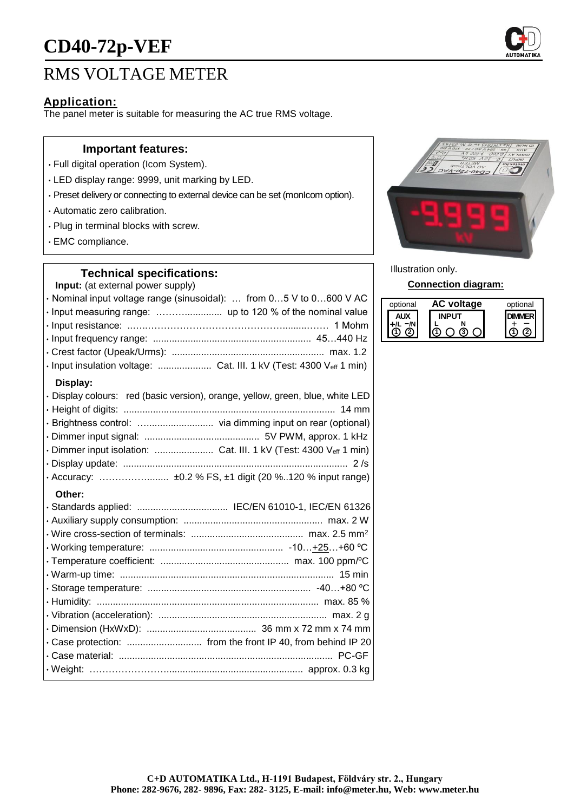# **CD40-72p-VEF**

### RMS VOLTAGE METER

### **Application:**

The panel meter is suitable for measuring the AC true RMS voltage.

#### **Important features:**

- Full digital operation (Icom System).
- LED display range: 9999, unit marking by LED.
- Preset delivery or connecting to external device can be set (monIcom option).
- Automatic zero calibration.
- Plug in terminal blocks with screw.
- EMC compliance.

#### **Technical specifications:**

**Input:** (at external power supply)

| · Nominal input voltage range (sinusoidal):  from 05 V to 0600 V AC            |
|--------------------------------------------------------------------------------|
|                                                                                |
|                                                                                |
|                                                                                |
|                                                                                |
| · Input insulation voltage:  Cat. III. 1 kV (Test: 4300 Veff 1 min)            |
| Display:                                                                       |
| · Display colours: red (basic version), orange, yellow, green, blue, white LED |
|                                                                                |
| · Brightness control:  via dimming input on rear (optional)                    |
|                                                                                |
| · Dimmer input isolation:  Cat. III. 1 kV (Test: 4300 Veff 1 min)              |
|                                                                                |
| · Accuracy:  ±0.2 % FS, ±1 digit (20 %120 % input range)                       |
| Other:                                                                         |
|                                                                                |
|                                                                                |
|                                                                                |
|                                                                                |
|                                                                                |
|                                                                                |
|                                                                                |
|                                                                                |
|                                                                                |
|                                                                                |

• Case protection: ............................ from the front IP 40, from behind IP 20 • Case material: ................................................................................ PC-GF • Weight: ……………………................................................... approx. 0.3 kg



Illustration only.

**Connection diagram:**

| optional | voltage | optional |
|----------|---------|----------|
|          |         |          |